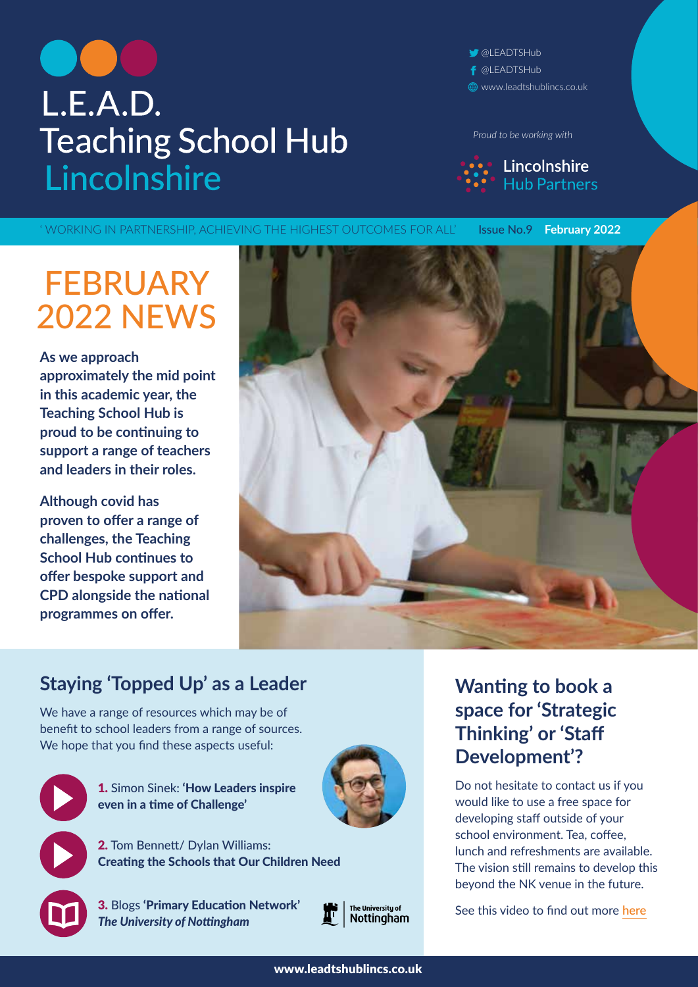# L.E.A.D. **Teaching School Hub** Lincolnshire

**OLEADTSHub** f @LEADTSHub www.leadtshublincs.co.uk

*Proud to be working with*



' WORKING IN PARTNERSHIP, ACHIEVING THE HIGHEST OUTCOMES FOR ALL' Issue No.9 **February 2022**

# **FEBRUARY** 2022 NEWS

**As we approach approximately the mid point in this academic year, the Teaching School Hub is proud to be continuing to support a range of teachers and leaders in their roles.** 

**Although covid has proven to offer a range of challenges, the Teaching School Hub continues to offer bespoke support and CPD alongside the national programmes on offer.** 



### **Staying 'Topped Up' as a Leader**

We have a range of resources which may be of benefit to school leaders from a range of sources. We hope that you find these aspects useful:



1. Simon Sinek: 'How Leaders inspire [even in a time of Challenge'](https://www.youtube.com/watch?v=uhZdbL-ekW8)

2. Tom Bennett/ Dylan Williams:



[Creating the Schools that Our Children](https://www.youtube.com/watch?v=AiL4AdmiHD0) Need

3. Blogs 'Primary Education Network' *[The University of Nottingham](https://blogs.nottingham.ac.uk/primaryeducationnetwork/)*



#### **Wanting to book a space for 'Strategic Thinking' or 'Staff Development'?**

Do not hesitate to contact us if you would like to use a free space for developing staff outside of your school environment. Tea, coffee, lunch and refreshments are available. The vision still remains to develop this beyond the NK venue in th[e future.](https://vimeo.com/670253753/c1aabd4e23) 

See this video to find out more **here**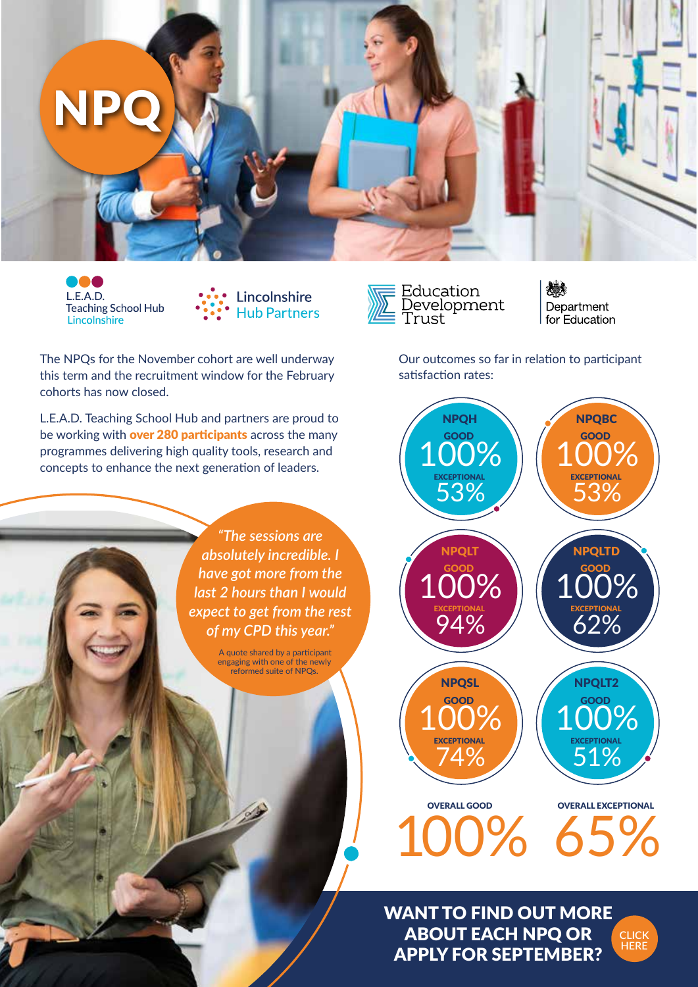# NPQ

L.E.A.D. **Teaching School Hub** Lincolnshire





想念 Department for Education

The NPQs for the November cohort are well underway this term and the recruitment window for the February cohorts has now closed.

L.E.A.D. Teaching School Hub and partners are proud to be working with **over 280 participants** across the many programmes delivering high quality tools, research and concepts to enhance the next generation of leaders.

Our outcomes so far in relation to participant satisfaction rates:



W[ANT TO FIND OUT MORE](https://www.leadtshublincs.co.uk/page/?title=NPQ+Programmes&pid=23)  ABOUT EACH NPQ OR APPLY FOR SEPTEMBER?



*"The sessions are absolutely incredible. I have got more from the last 2 hours than I would expect to get from the rest of my CPD this year."*

A quote shared by a participant engaging with one of the newly reformed suite of NPQs.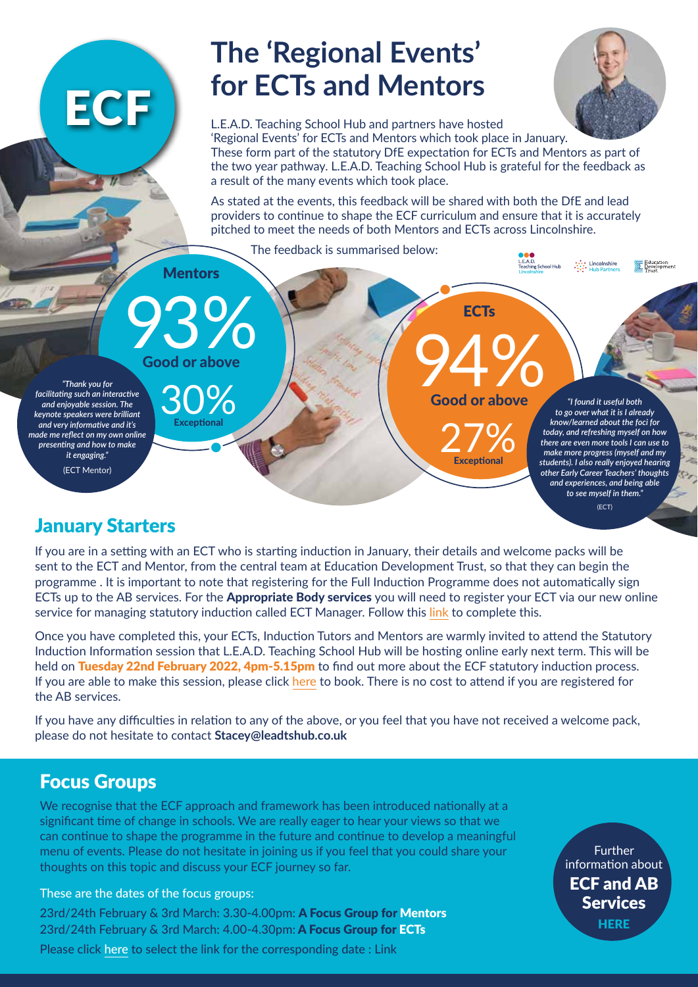# **The 'Regional Events' for ECTs and Mentors**

 $\frac{1}{2}$  Lincolnshire

Education

L.E.A.D. Teaching School Hub and partners have hosted 'Regional Events' for ECTs and Mentors which took place in January. These form part of the statutory DfE expectation for ECTs and Mentors as part of the two year pathway. L.E.A.D. Teaching School Hub is grateful for the feedback as a result of the many events which took place.

As stated at the events, this feedback will be shared with both the DfE and lead providers to continue to shape the ECF curriculum and ensure that it is accurately pitched to meet the needs of both Mentors and ECTs across Lincolnshire.

The feedback is summarised below:

**Mentors** 

93%

Good or above

30% Exceptional

*"Thank you for facilitating such an interactive and enjoyable session. The keynote speakers were brilliant and very informative and it's made me reflect on my own online presenting and how to make it engaging."* 

ECF

(ECT Mentor)

94% Good or above

**ECTs** 

**DOO**<br>L.E.A.D.<br>Teaching School Hub<br>Lincolnshire

27% **Exceptional** 

*"I found it useful both to go over what it is I already know/learned about the foci for today, and refreshing myself on how there are even more tools I can use to make more progress (myself and my students). I also really enjoyed hearing other Early Career Teachers' thoughts and experiences, and being able to see myself in them."*  (ECT)

#### January Starters

If you are in a setting with an ECT who is starting induction in January, their details and welcome packs will be sent to the ECT and Mentor, from the central team at Education Development Trust, so that they can begin the programme . It is important to note that registering for the Full In[duction Programme](https://leadtsh.ectmanager.com/Login.aspx) does not automatically sign ECTs up to the AB services. For the **Appropriate Body services** you will need to register your ECT via our new online service for managing statutory induction called ECT Manager. Follow this link to complete this.

Once you have completed this, your ECTs, Induction Tutors and Mentors are warmly invited to attend the Statutory Induction Information session that L.E.A[.D. Teaching Schoo](https://event.bookitbee.com/37981/appropriate-body-statutory-induction-information-l)l Hub will be hosting online early next term. This will be held on Tuesday 22nd February 2022, 4pm-5.15pm to find out more about the ECF statutory induction process. If you are able to make this session, please click here to book. There is no cost to attend if you are registered for the AB services.

If you have any difficulties in relation to any of the above, or you feel that you have not received a welcome pack, please do not hesitate to contact **Stacey@leadtshub.co.uk**

#### Focus Groups

We recognise that the ECF approach and framework has been introduced nationally at a significant time of change in schools. We are really eager to hear your views so that we can continue to shape the programme in the future and continue to develop a meaningful menu of events. Please do not hesitate in joining us if you feel that you could share your thoughts on this topic and discuss your ECF journey so far.

T[hese are the dates of the focus groups:](https://docs.google.com/document/d/1YVtaH7p6AQKd3G558gzXcjNv3Si0m5Wv/edit)

23rd/24th February & 3rd March: 3.30-4.00pm: A Focus Group for Mentors 23rd/24th February & 3rd March: 4.00-4.30pm: A Focus Group for ECTs Please click here to select the link for the corresponding date : Link

**Further** information about [ECF and AB](https://www.leadtshublincs.co.uk/page/?title=ITT%2FEarly+Career%2FAB&pid=7)  **Services HERE**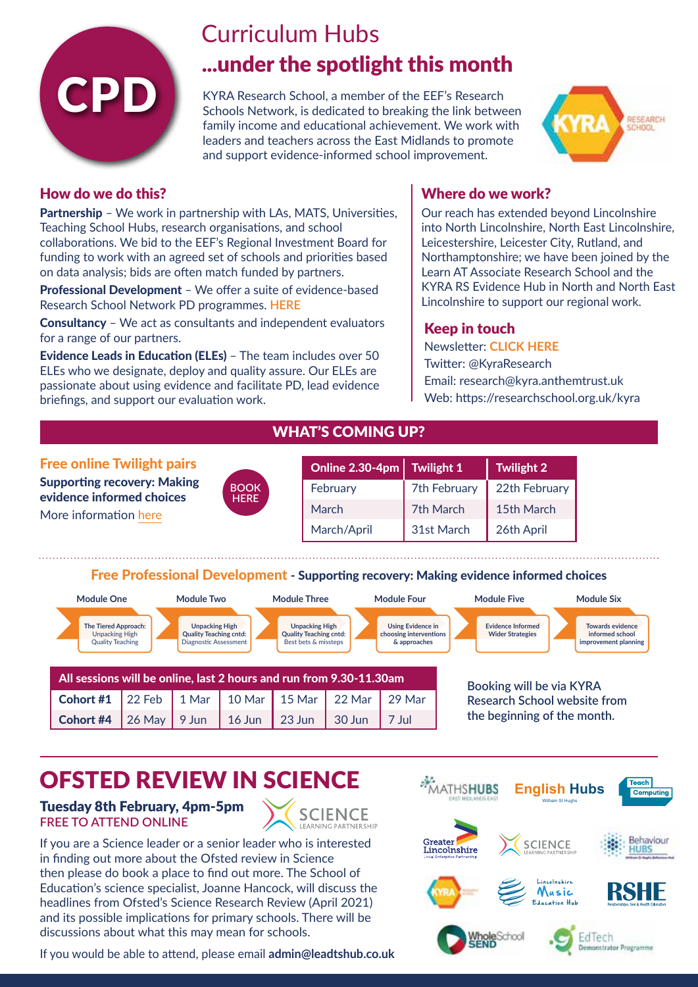

## Curriculum Hubs ...under the spotlight this month

KYRA Research School, a member of the EEF's Research Schools Network, is dedicated to breaking the link between family income and educational achievement. We work with leaders and teachers across the East Midlands to promote and support evidence-informed school improvement.



#### How do we do this?

Partnership - We work in partnership with LAs, MATS, Universities, Teaching School Hubs, research organisations, and school collaborations. We bid to the EEF's Regional Investment Board for funding to work with an agreed set of schools and priorities based on data analysis; bids are often mat[ch funded by partner](https://researchschool.org.uk/kyra/events)s.

Professional Development – We offer a suite of evidence-based Research School Network PD programmes. **HERE**

Consultancy – We act as consultants and independent evaluators for a range of our partners.

Evidence Leads in Education (ELEs) – The team includes over 50 ELEs who we designate, deploy and quality assure. Our ELEs are passionate about using evidence and facilitate PD, lead evidence briefings, and support our evaluation work.

#### Where do we work?

Our reach has extended beyond Lincolnshire into North Lincolnshire, North East Lincolnshire, Leicestershire, Leicester City, Rutland, and Northamptonshire; we have been joined by the Learn AT Associate Research School and the KYRA RS Evidence Hub in North and North East Lincolnshire to support our regional work.

#### Keep in touch

Newsletter: **CLICK HERE** Twitter: @KyraResearch Email: [research@kyra.anthemtru](https://researchschool.org.uk/kyra/news/newsletter)st.uk Web: https://researchschool.org.uk/kyra



Free Professional Development - Supporting recovery: Making evidence informed choices



| All Sessions will be offitte, last Z Tiours and Pull Holl 7.30-11.30am |  |  |  |  |  |  |
|------------------------------------------------------------------------|--|--|--|--|--|--|
| <b>Cohort #1</b> 22 Feb 1 Mar 10 Mar 15 Mar 22 Mar 29 Mar              |  |  |  |  |  |  |
| <b>Cohort #4</b> 26 May 9 Jun 16 Jun 23 Jun 30 Jun 7 Jul               |  |  |  |  |  |  |

**Booking will be via KYRA Research School website from the beginning of the month.** 

## OFSTED REVIEW IN SCIENCE

Tuesday 8th February, 4pm-5pm **FREE TO ATTEND ONLINE**



If you are a Science leader or a senior leader who is interested in finding out more about the Ofsted review in Science then please do book a place to find out more. The School of Education's science specialist, Joanne Hancock, will discuss the headlines from Ofsted's Science Research Review (April 2021) and its possible implications for primary schools. There will be discussions about what this may mean for schools.

If you would be able to attend, please email **admin@leadtshub.co.uk**



#### WHAT'S COMING UP?